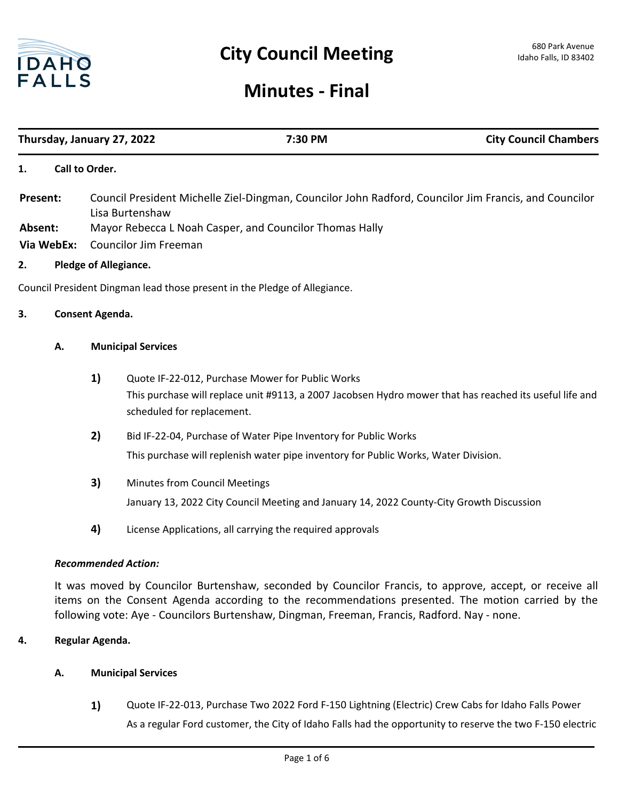

# **Minutes - Final**

| Thursday, January 27, 2022         |                                                                                                                                                                                                                                                                                                                                            |                                                                                                                          |                                                         | 7:30 PM                                                                                  | <b>City Council Chambers</b>                                                                            |  |
|------------------------------------|--------------------------------------------------------------------------------------------------------------------------------------------------------------------------------------------------------------------------------------------------------------------------------------------------------------------------------------------|--------------------------------------------------------------------------------------------------------------------------|---------------------------------------------------------|------------------------------------------------------------------------------------------|---------------------------------------------------------------------------------------------------------|--|
| 1.                                 |                                                                                                                                                                                                                                                                                                                                            | Call to Order.                                                                                                           |                                                         |                                                                                          |                                                                                                         |  |
| Present:                           |                                                                                                                                                                                                                                                                                                                                            | Council President Michelle Ziel-Dingman, Councilor John Radford, Councilor Jim Francis, and Councilor<br>Lisa Burtenshaw |                                                         |                                                                                          |                                                                                                         |  |
| Absent:                            |                                                                                                                                                                                                                                                                                                                                            |                                                                                                                          | Mayor Rebecca L Noah Casper, and Councilor Thomas Hally |                                                                                          |                                                                                                         |  |
| Via WebEx:                         |                                                                                                                                                                                                                                                                                                                                            | <b>Councilor Jim Freeman</b>                                                                                             |                                                         |                                                                                          |                                                                                                         |  |
| <b>Pledge of Allegiance.</b><br>2. |                                                                                                                                                                                                                                                                                                                                            |                                                                                                                          |                                                         |                                                                                          |                                                                                                         |  |
|                                    |                                                                                                                                                                                                                                                                                                                                            |                                                                                                                          |                                                         | Council President Dingman lead those present in the Pledge of Allegiance.                |                                                                                                         |  |
| 3.                                 |                                                                                                                                                                                                                                                                                                                                            | Consent Agenda.                                                                                                          |                                                         |                                                                                          |                                                                                                         |  |
|                                    | Α.                                                                                                                                                                                                                                                                                                                                         | <b>Municipal Services</b>                                                                                                |                                                         |                                                                                          |                                                                                                         |  |
|                                    |                                                                                                                                                                                                                                                                                                                                            | 1)                                                                                                                       | scheduled for replacement.                              | Quote IF-22-012, Purchase Mower for Public Works                                         | This purchase will replace unit #9113, a 2007 Jacobsen Hydro mower that has reached its useful life and |  |
|                                    |                                                                                                                                                                                                                                                                                                                                            | 2)                                                                                                                       |                                                         | Bid IF-22-04, Purchase of Water Pipe Inventory for Public Works                          |                                                                                                         |  |
|                                    |                                                                                                                                                                                                                                                                                                                                            |                                                                                                                          |                                                         | This purchase will replenish water pipe inventory for Public Works, Water Division.      |                                                                                                         |  |
|                                    |                                                                                                                                                                                                                                                                                                                                            | 3)                                                                                                                       | Minutes from Council Meetings                           |                                                                                          |                                                                                                         |  |
|                                    |                                                                                                                                                                                                                                                                                                                                            |                                                                                                                          |                                                         | January 13, 2022 City Council Meeting and January 14, 2022 County-City Growth Discussion |                                                                                                         |  |
|                                    |                                                                                                                                                                                                                                                                                                                                            | 4)                                                                                                                       |                                                         | License Applications, all carrying the required approvals                                |                                                                                                         |  |
|                                    | <b>Recommended Action:</b><br>It was moved by Councilor Burtenshaw, seconded by Councilor Francis, to approve, accept, or receive all<br>items on the Consent Agenda according to the recommendations presented. The motion carried by the<br>following vote: Aye - Councilors Burtenshaw, Dingman, Freeman, Francis, Radford. Nay - none. |                                                                                                                          |                                                         |                                                                                          |                                                                                                         |  |
|                                    |                                                                                                                                                                                                                                                                                                                                            |                                                                                                                          |                                                         |                                                                                          |                                                                                                         |  |
| Regular Agenda.<br>4.              |                                                                                                                                                                                                                                                                                                                                            |                                                                                                                          |                                                         |                                                                                          |                                                                                                         |  |
|                                    | <b>Municipal Services</b><br>А.                                                                                                                                                                                                                                                                                                            |                                                                                                                          |                                                         |                                                                                          |                                                                                                         |  |

**1)** Quote IF-22-013, Purchase Two 2022 Ford F-150 Lightning (Electric) Crew Cabs for Idaho Falls Power

As a regular Ford customer, the City of Idaho Falls had the opportunity to reserve the two F-150 electric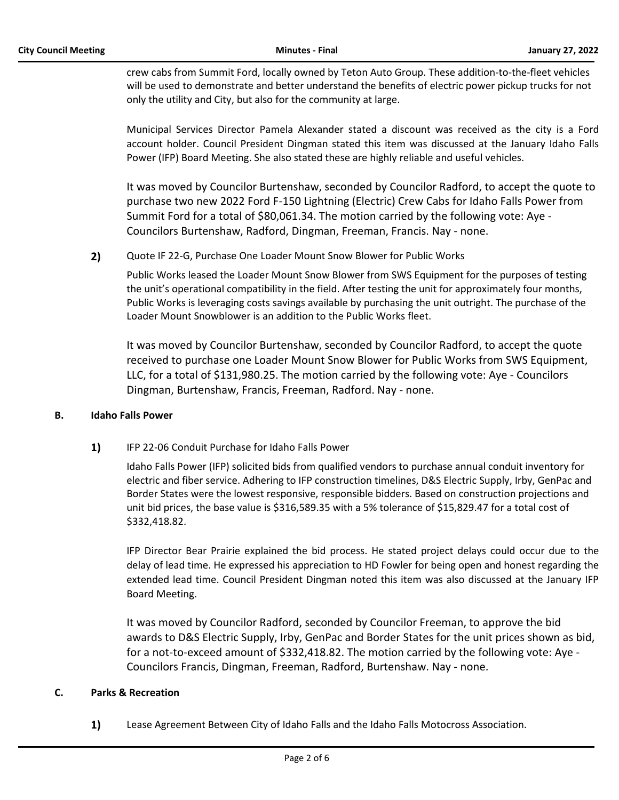crew cabs from Summit Ford, locally owned by Teton Auto Group. These addition-to-the-fleet vehicles will be used to demonstrate and better understand the benefits of electric power pickup trucks for not only the utility and City, but also for the community at large.

Municipal Services Director Pamela Alexander stated a discount was received as the city is a Ford account holder. Council President Dingman stated this item was discussed at the January Idaho Falls Power (IFP) Board Meeting. She also stated these are highly reliable and useful vehicles.

It was moved by Councilor Burtenshaw, seconded by Councilor Radford, to accept the quote to purchase two new 2022 Ford F-150 Lightning (Electric) Crew Cabs for Idaho Falls Power from Summit Ford for a total of \$80,061.34. The motion carried by the following vote: Aye - Councilors Burtenshaw, Radford, Dingman, Freeman, Francis. Nay - none.

**2)** Quote IF 22-G, Purchase One Loader Mount Snow Blower for Public Works

Public Works leased the Loader Mount Snow Blower from SWS Equipment for the purposes of testing the unit's operational compatibility in the field. After testing the unit for approximately four months, Public Works is leveraging costs savings available by purchasing the unit outright. The purchase of the Loader Mount Snowblower is an addition to the Public Works fleet.

It was moved by Councilor Burtenshaw, seconded by Councilor Radford, to accept the quote received to purchase one Loader Mount Snow Blower for Public Works from SWS Equipment, LLC, for a total of \$131,980.25. The motion carried by the following vote: Aye - Councilors Dingman, Burtenshaw, Francis, Freeman, Radford. Nay - none.

#### **B. Idaho Falls Power**

**1)** IFP 22-06 Conduit Purchase for Idaho Falls Power

Idaho Falls Power (IFP) solicited bids from qualified vendors to purchase annual conduit inventory for electric and fiber service. Adhering to IFP construction timelines, D&S Electric Supply, Irby, GenPac and Border States were the lowest responsive, responsible bidders. Based on construction projections and unit bid prices, the base value is \$316,589.35 with a 5% tolerance of \$15,829.47 for a total cost of \$332,418.82.

IFP Director Bear Prairie explained the bid process. He stated project delays could occur due to the delay of lead time. He expressed his appreciation to HD Fowler for being open and honest regarding the extended lead time. Council President Dingman noted this item was also discussed at the January IFP Board Meeting.

It was moved by Councilor Radford, seconded by Councilor Freeman, to approve the bid awards to D&S Electric Supply, Irby, GenPac and Border States for the unit prices shown as bid, for a not-to-exceed amount of \$332,418.82. The motion carried by the following vote: Aye - Councilors Francis, Dingman, Freeman, Radford, Burtenshaw. Nay - none.

#### **C. Parks & Recreation**

**1)** Lease Agreement Between City of Idaho Falls and the Idaho Falls Motocross Association.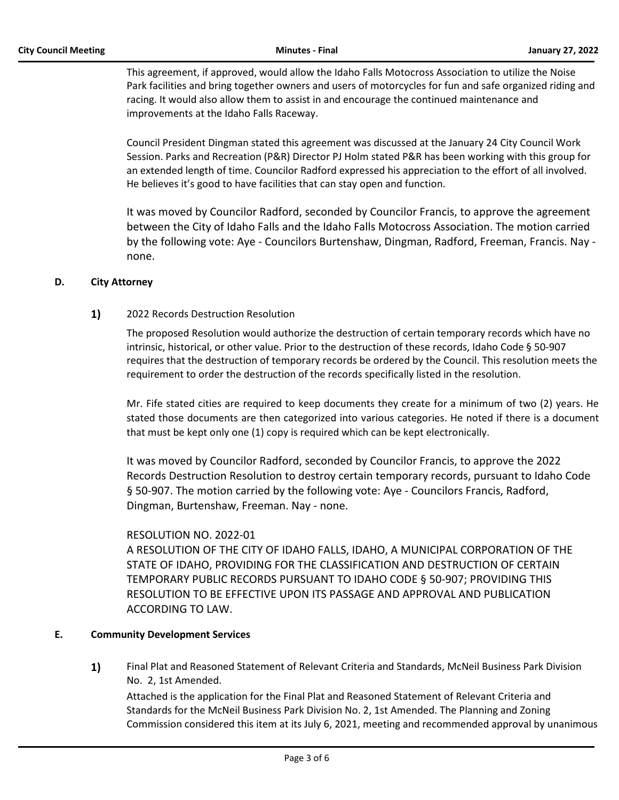This agreement, if approved, would allow the Idaho Falls Motocross Association to utilize the Noise Park facilities and bring together owners and users of motorcycles for fun and safe organized riding and racing. It would also allow them to assist in and encourage the continued maintenance and improvements at the Idaho Falls Raceway.

Council President Dingman stated this agreement was discussed at the January 24 City Council Work Session. Parks and Recreation (P&R) Director PJ Holm stated P&R has been working with this group for an extended length of time. Councilor Radford expressed his appreciation to the effort of all involved. He believes it's good to have facilities that can stay open and function.

It was moved by Councilor Radford, seconded by Councilor Francis, to approve the agreement between the City of Idaho Falls and the Idaho Falls Motocross Association. The motion carried by the following vote: Aye - Councilors Burtenshaw, Dingman, Radford, Freeman, Francis. Nay none.

### **D. City Attorney**

## **1)** 2022 Records Destruction Resolution

The proposed Resolution would authorize the destruction of certain temporary records which have no intrinsic, historical, or other value. Prior to the destruction of these records, Idaho Code § 50-907 requires that the destruction of temporary records be ordered by the Council. This resolution meets the requirement to order the destruction of the records specifically listed in the resolution.

Mr. Fife stated cities are required to keep documents they create for a minimum of two (2) years. He stated those documents are then categorized into various categories. He noted if there is a document that must be kept only one (1) copy is required which can be kept electronically.

It was moved by Councilor Radford, seconded by Councilor Francis, to approve the 2022 Records Destruction Resolution to destroy certain temporary records, pursuant to Idaho Code § 50-907. The motion carried by the following vote: Aye - Councilors Francis, Radford, Dingman, Burtenshaw, Freeman. Nay - none.

#### RESOLUTION NO. 2022-01

A RESOLUTION OF THE CITY OF IDAHO FALLS, IDAHO, A MUNICIPAL CORPORATION OF THE STATE OF IDAHO, PROVIDING FOR THE CLASSIFICATION AND DESTRUCTION OF CERTAIN TEMPORARY PUBLIC RECORDS PURSUANT TO IDAHO CODE § 50-907; PROVIDING THIS RESOLUTION TO BE EFFECTIVE UPON ITS PASSAGE AND APPROVAL AND PUBLICATION ACCORDING TO LAW.

#### **E. Community Development Services**

**1)** Final Plat and Reasoned Statement of Relevant Criteria and Standards, McNeil Business Park Division No. 2, 1st Amended.

Attached is the application for the Final Plat and Reasoned Statement of Relevant Criteria and Standards for the McNeil Business Park Division No. 2, 1st Amended. The Planning and Zoning Commission considered this item at its July 6, 2021, meeting and recommended approval by unanimous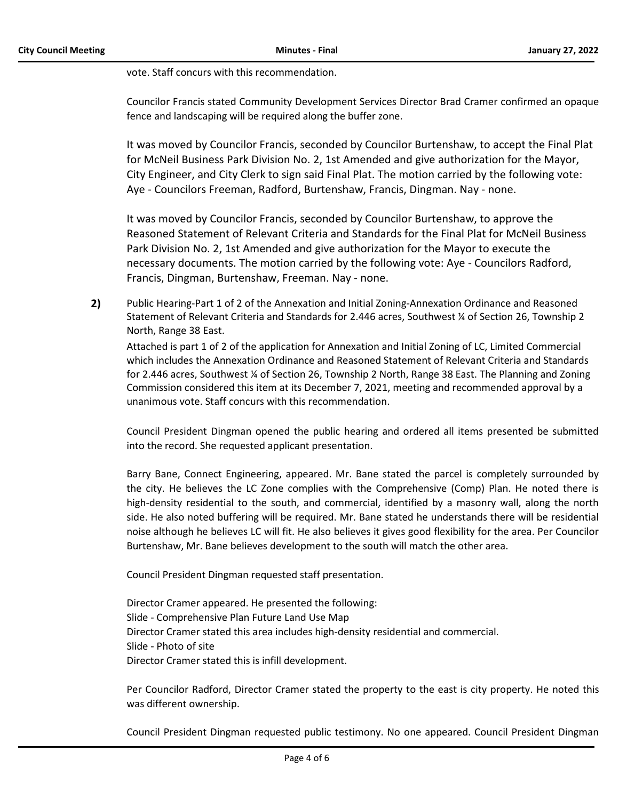vote. Staff concurs with this recommendation.

Councilor Francis stated Community Development Services Director Brad Cramer confirmed an opaque fence and landscaping will be required along the buffer zone.

It was moved by Councilor Francis, seconded by Councilor Burtenshaw, to accept the Final Plat for McNeil Business Park Division No. 2, 1st Amended and give authorization for the Mayor, City Engineer, and City Clerk to sign said Final Plat. The motion carried by the following vote: Aye - Councilors Freeman, Radford, Burtenshaw, Francis, Dingman. Nay - none.

It was moved by Councilor Francis, seconded by Councilor Burtenshaw, to approve the Reasoned Statement of Relevant Criteria and Standards for the Final Plat for McNeil Business Park Division No. 2, 1st Amended and give authorization for the Mayor to execute the necessary documents. The motion carried by the following vote: Aye - Councilors Radford, Francis, Dingman, Burtenshaw, Freeman. Nay - none.

**2)** Public Hearing-Part 1 of 2 of the Annexation and Initial Zoning-Annexation Ordinance and Reasoned Statement of Relevant Criteria and Standards for 2.446 acres, Southwest ¼ of Section 26, Township 2 North, Range 38 East.

Attached is part 1 of 2 of the application for Annexation and Initial Zoning of LC, Limited Commercial which includes the Annexation Ordinance and Reasoned Statement of Relevant Criteria and Standards for 2.446 acres, Southwest ¼ of Section 26, Township 2 North, Range 38 East. The Planning and Zoning Commission considered this item at its December 7, 2021, meeting and recommended approval by a unanimous vote. Staff concurs with this recommendation.

Council President Dingman opened the public hearing and ordered all items presented be submitted into the record. She requested applicant presentation.

Barry Bane, Connect Engineering, appeared. Mr. Bane stated the parcel is completely surrounded by the city. He believes the LC Zone complies with the Comprehensive (Comp) Plan. He noted there is high-density residential to the south, and commercial, identified by a masonry wall, along the north side. He also noted buffering will be required. Mr. Bane stated he understands there will be residential noise although he believes LC will fit. He also believes it gives good flexibility for the area. Per Councilor Burtenshaw, Mr. Bane believes development to the south will match the other area.

Council President Dingman requested staff presentation.

Director Cramer appeared. He presented the following: Slide - Comprehensive Plan Future Land Use Map Director Cramer stated this area includes high-density residential and commercial. Slide - Photo of site Director Cramer stated this is infill development.

Per Councilor Radford, Director Cramer stated the property to the east is city property. He noted this was different ownership.

Council President Dingman requested public testimony. No one appeared. Council President Dingman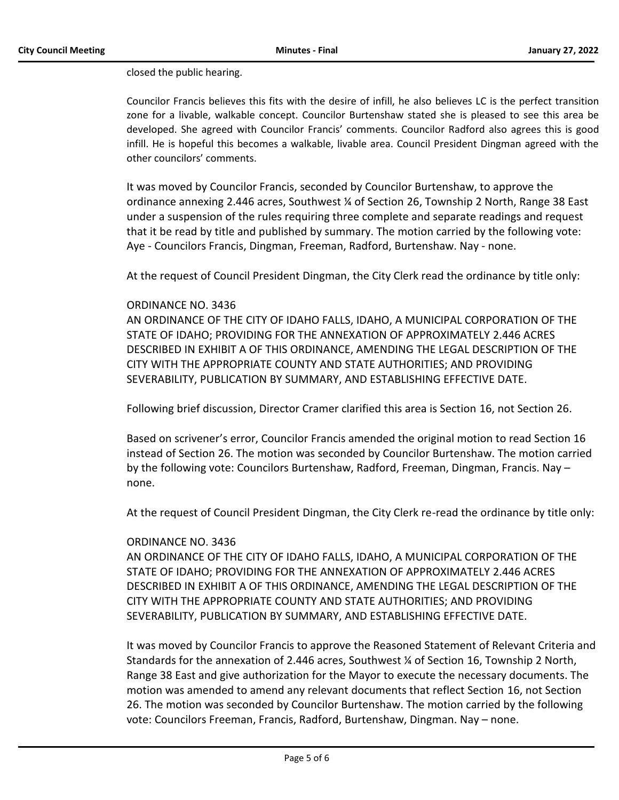closed the public hearing.

Councilor Francis believes this fits with the desire of infill, he also believes LC is the perfect transition zone for a livable, walkable concept. Councilor Burtenshaw stated she is pleased to see this area be developed. She agreed with Councilor Francis' comments. Councilor Radford also agrees this is good infill. He is hopeful this becomes a walkable, livable area. Council President Dingman agreed with the other councilors' comments.

It was moved by Councilor Francis, seconded by Councilor Burtenshaw, to approve the ordinance annexing 2.446 acres, Southwest ¼ of Section 26, Township 2 North, Range 38 East under a suspension of the rules requiring three complete and separate readings and request that it be read by title and published by summary. The motion carried by the following vote: Aye - Councilors Francis, Dingman, Freeman, Radford, Burtenshaw. Nay - none.

At the request of Council President Dingman, the City Clerk read the ordinance by title only:

### ORDINANCE NO. 3436

AN ORDINANCE OF THE CITY OF IDAHO FALLS, IDAHO, A MUNICIPAL CORPORATION OF THE STATE OF IDAHO; PROVIDING FOR THE ANNEXATION OF APPROXIMATELY 2.446 ACRES DESCRIBED IN EXHIBIT A OF THIS ORDINANCE, AMENDING THE LEGAL DESCRIPTION OF THE CITY WITH THE APPROPRIATE COUNTY AND STATE AUTHORITIES; AND PROVIDING SEVERABILITY, PUBLICATION BY SUMMARY, AND ESTABLISHING EFFECTIVE DATE.

Following brief discussion, Director Cramer clarified this area is Section 16, not Section 26.

Based on scrivener's error, Councilor Francis amended the original motion to read Section 16 instead of Section 26. The motion was seconded by Councilor Burtenshaw. The motion carried by the following vote: Councilors Burtenshaw, Radford, Freeman, Dingman, Francis. Nay – none.

At the request of Council President Dingman, the City Clerk re-read the ordinance by title only:

#### ORDINANCE NO. 3436

AN ORDINANCE OF THE CITY OF IDAHO FALLS, IDAHO, A MUNICIPAL CORPORATION OF THE STATE OF IDAHO; PROVIDING FOR THE ANNEXATION OF APPROXIMATELY 2.446 ACRES DESCRIBED IN EXHIBIT A OF THIS ORDINANCE, AMENDING THE LEGAL DESCRIPTION OF THE CITY WITH THE APPROPRIATE COUNTY AND STATE AUTHORITIES; AND PROVIDING SEVERABILITY, PUBLICATION BY SUMMARY, AND ESTABLISHING EFFECTIVE DATE.

It was moved by Councilor Francis to approve the Reasoned Statement of Relevant Criteria and Standards for the annexation of 2.446 acres, Southwest ¼ of Section 16, Township 2 North, Range 38 East and give authorization for the Mayor to execute the necessary documents. The motion was amended to amend any relevant documents that reflect Section 16, not Section 26. The motion was seconded by Councilor Burtenshaw. The motion carried by the following vote: Councilors Freeman, Francis, Radford, Burtenshaw, Dingman. Nay – none.